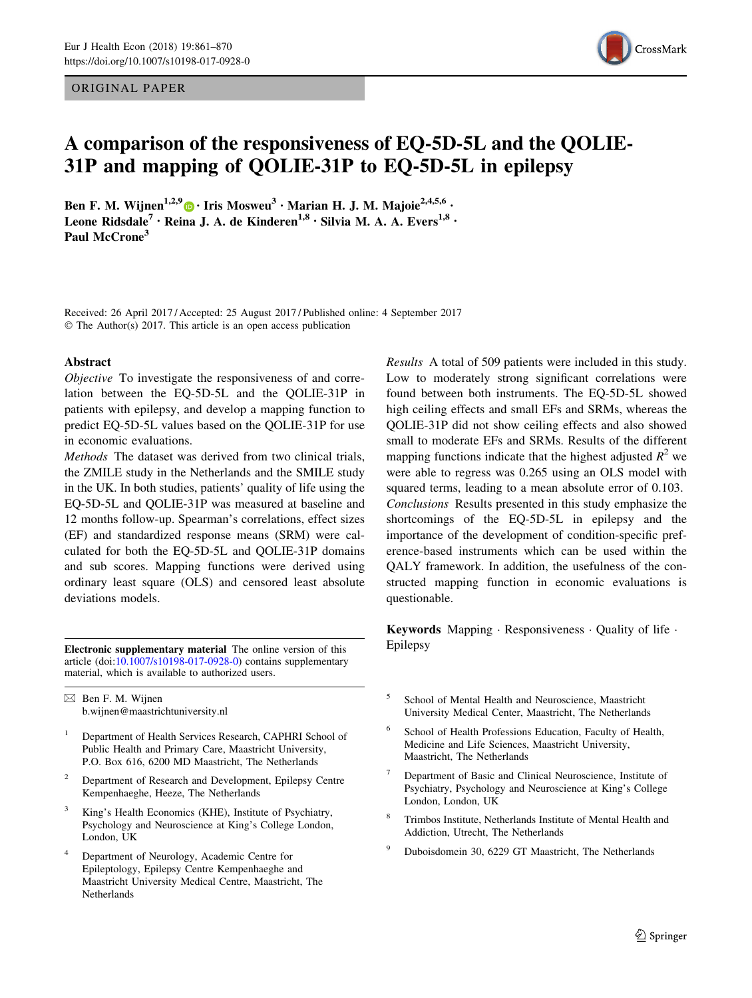## ORIGINAL PAPER



# A comparison of the responsiveness of EQ-5D-5L and the QOLIE-31P and mapping of QOLIE-31P to EQ-5D-5L in epilepsy

Ben F. M. Wijnen<sup>1,2,9</sup> • Iris Mosweu<sup>3</sup> • Marian H. J. M. Majoie<sup>2,4,5,6</sup> • Leone Ridsdale<sup>7</sup> · Reina J. A. de Kinderen<sup>1,8</sup> · Silvia M. A. A. Evers<sup>1,8</sup> · Paul McCrone<sup>3</sup>

Received: 26 April 2017 / Accepted: 25 August 2017 / Published online: 4 September 2017 © The Author(s) 2017. This article is an open access publication

#### Abstract

Objective To investigate the responsiveness of and correlation between the EQ-5D-5L and the QOLIE-31P in patients with epilepsy, and develop a mapping function to predict EQ-5D-5L values based on the QOLIE-31P for use in economic evaluations.

Methods The dataset was derived from two clinical trials, the ZMILE study in the Netherlands and the SMILE study in the UK. In both studies, patients' quality of life using the EQ-5D-5L and QOLIE-31P was measured at baseline and 12 months follow-up. Spearman's correlations, effect sizes (EF) and standardized response means (SRM) were calculated for both the EQ-5D-5L and QOLIE-31P domains and sub scores. Mapping functions were derived using ordinary least square (OLS) and censored least absolute deviations models.

Electronic supplementary material The online version of this Epilepsy article (doi:[10.1007/s10198-017-0928-0\)](http://dx.doi.org/10.1007/s10198-017-0928-0) contains supplementary material, which is available to authorized users.

 $\boxtimes$  Ben F. M. Wijnen b.wijnen@maastrichtuniversity.nl

- <sup>1</sup> Department of Health Services Research, CAPHRI School of Public Health and Primary Care, Maastricht University, P.O. Box 616, 6200 MD Maastricht, The Netherlands
- <sup>2</sup> Department of Research and Development, Epilepsy Centre Kempenhaeghe, Heeze, The Netherlands
- <sup>3</sup> King's Health Economics (KHE), Institute of Psychiatry, Psychology and Neuroscience at King's College London, London, UK
- <sup>4</sup> Department of Neurology, Academic Centre for Epileptology, Epilepsy Centre Kempenhaeghe and Maastricht University Medical Centre, Maastricht, The Netherlands

Results A total of 509 patients were included in this study. Low to moderately strong significant correlations were found between both instruments. The EQ-5D-5L showed high ceiling effects and small EFs and SRMs, whereas the QOLIE-31P did not show ceiling effects and also showed small to moderate EFs and SRMs. Results of the different mapping functions indicate that the highest adjusted  $R^2$  we were able to regress was 0.265 using an OLS model with squared terms, leading to a mean absolute error of 0.103. Conclusions Results presented in this study emphasize the shortcomings of the EQ-5D-5L in epilepsy and the importance of the development of condition-specific preference-based instruments which can be used within the QALY framework. In addition, the usefulness of the constructed mapping function in economic evaluations is questionable.

Keywords Mapping · Responsiveness · Quality of life ·

- <sup>5</sup> School of Mental Health and Neuroscience, Maastricht University Medical Center, Maastricht, The Netherlands
- School of Health Professions Education, Faculty of Health, Medicine and Life Sciences, Maastricht University, Maastricht, The Netherlands
- <sup>7</sup> Department of Basic and Clinical Neuroscience, Institute of Psychiatry, Psychology and Neuroscience at King's College London, London, UK
- <sup>8</sup> Trimbos Institute, Netherlands Institute of Mental Health and Addiction, Utrecht, The Netherlands
- <sup>9</sup> Duboisdomein 30, 6229 GT Maastricht, The Netherlands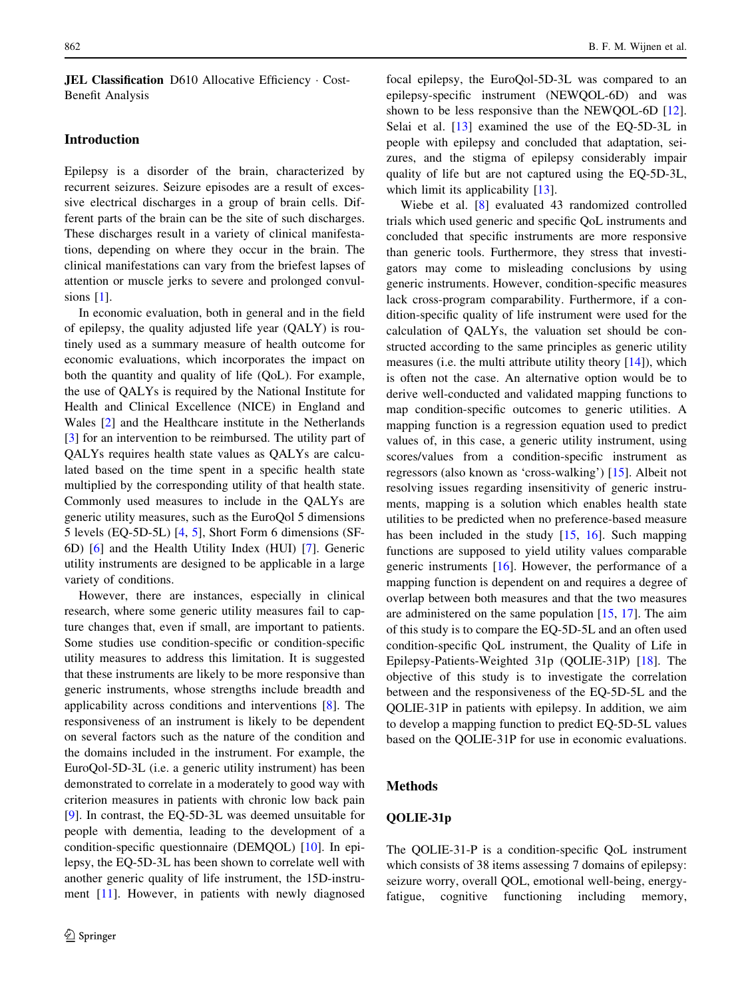JEL Classification D610 Allocative Efficiency · Cost-Benefit Analysis

### Introduction

Epilepsy is a disorder of the brain, characterized by recurrent seizures. Seizure episodes are a result of excessive electrical discharges in a group of brain cells. Different parts of the brain can be the site of such discharges. These discharges result in a variety of clinical manifestations, depending on where they occur in the brain. The clinical manifestations can vary from the briefest lapses of attention or muscle jerks to severe and prolonged convulsions  $[1]$  $[1]$ .

In economic evaluation, both in general and in the field of epilepsy, the quality adjusted life year (QALY) is routinely used as a summary measure of health outcome for economic evaluations, which incorporates the impact on both the quantity and quality of life (QoL). For example, the use of QALYs is required by the National Institute for Health and Clinical Excellence (NICE) in England and Wales [\[2](#page-8-0)] and the Healthcare institute in the Netherlands [\[3](#page-8-0)] for an intervention to be reimbursed. The utility part of QALYs requires health state values as QALYs are calculated based on the time spent in a specific health state multiplied by the corresponding utility of that health state. Commonly used measures to include in the QALYs are generic utility measures, such as the EuroQol 5 dimensions 5 levels (EQ-5D-5L) [[4,](#page-8-0) [5\]](#page-8-0), Short Form 6 dimensions (SF-6D) [\[6](#page-8-0)] and the Health Utility Index (HUI) [\[7](#page-8-0)]. Generic utility instruments are designed to be applicable in a large variety of conditions.

However, there are instances, especially in clinical research, where some generic utility measures fail to capture changes that, even if small, are important to patients. Some studies use condition-specific or condition-specific utility measures to address this limitation. It is suggested that these instruments are likely to be more responsive than generic instruments, whose strengths include breadth and applicability across conditions and interventions [[8\]](#page-8-0). The responsiveness of an instrument is likely to be dependent on several factors such as the nature of the condition and the domains included in the instrument. For example, the EuroQol-5D-3L (i.e. a generic utility instrument) has been demonstrated to correlate in a moderately to good way with criterion measures in patients with chronic low back pain [\[9](#page-8-0)]. In contrast, the EQ-5D-3L was deemed unsuitable for people with dementia, leading to the development of a condition-specific questionnaire (DEMQOL) [\[10](#page-8-0)]. In epilepsy, the EQ-5D-3L has been shown to correlate well with another generic quality of life instrument, the 15D-instrument [[11\]](#page-8-0). However, in patients with newly diagnosed focal epilepsy, the EuroQol-5D-3L was compared to an epilepsy-specific instrument (NEWQOL-6D) and was shown to be less responsive than the NEWQOL-6D [\[12](#page-8-0)]. Selai et al. [\[13\]](#page-8-0) examined the use of the EQ-5D-3L in people with epilepsy and concluded that adaptation, seizures, and the stigma of epilepsy considerably impair quality of life but are not captured using the EQ-5D-3L, which limit its applicability [[13\]](#page-8-0).

Wiebe et al. [\[8](#page-8-0)] evaluated 43 randomized controlled trials which used generic and specific QoL instruments and concluded that specific instruments are more responsive than generic tools. Furthermore, they stress that investigators may come to misleading conclusions by using generic instruments. However, condition-specific measures lack cross-program comparability. Furthermore, if a condition-specific quality of life instrument were used for the calculation of QALYs, the valuation set should be constructed according to the same principles as generic utility measures (i.e. the multi attribute utility theory  $[14]$  $[14]$ ), which is often not the case. An alternative option would be to derive well-conducted and validated mapping functions to map condition-specific outcomes to generic utilities. A mapping function is a regression equation used to predict values of, in this case, a generic utility instrument, using scores/values from a condition-specific instrument as regressors (also known as 'cross-walking') [[15\]](#page-8-0). Albeit not resolving issues regarding insensitivity of generic instruments, mapping is a solution which enables health state utilities to be predicted when no preference-based measure has been included in the study  $[15, 16]$  $[15, 16]$  $[15, 16]$  $[15, 16]$ . Such mapping functions are supposed to yield utility values comparable generic instruments [[16\]](#page-8-0). However, the performance of a mapping function is dependent on and requires a degree of overlap between both measures and that the two measures are administered on the same population [[15,](#page-8-0) [17\]](#page-8-0). The aim of this study is to compare the EQ-5D-5L and an often used condition-specific QoL instrument, the Quality of Life in Epilepsy-Patients-Weighted 31p (QOLIE-31P) [[18\]](#page-8-0). The objective of this study is to investigate the correlation between and the responsiveness of the EQ-5D-5L and the QOLIE-31P in patients with epilepsy. In addition, we aim to develop a mapping function to predict EQ-5D-5L values based on the QOLIE-31P for use in economic evaluations.

# Methods

# QOLIE-31p

The QOLIE-31-P is a condition-specific QoL instrument which consists of 38 items assessing 7 domains of epilepsy: seizure worry, overall QOL, emotional well-being, energyfatigue, cognitive functioning including memory,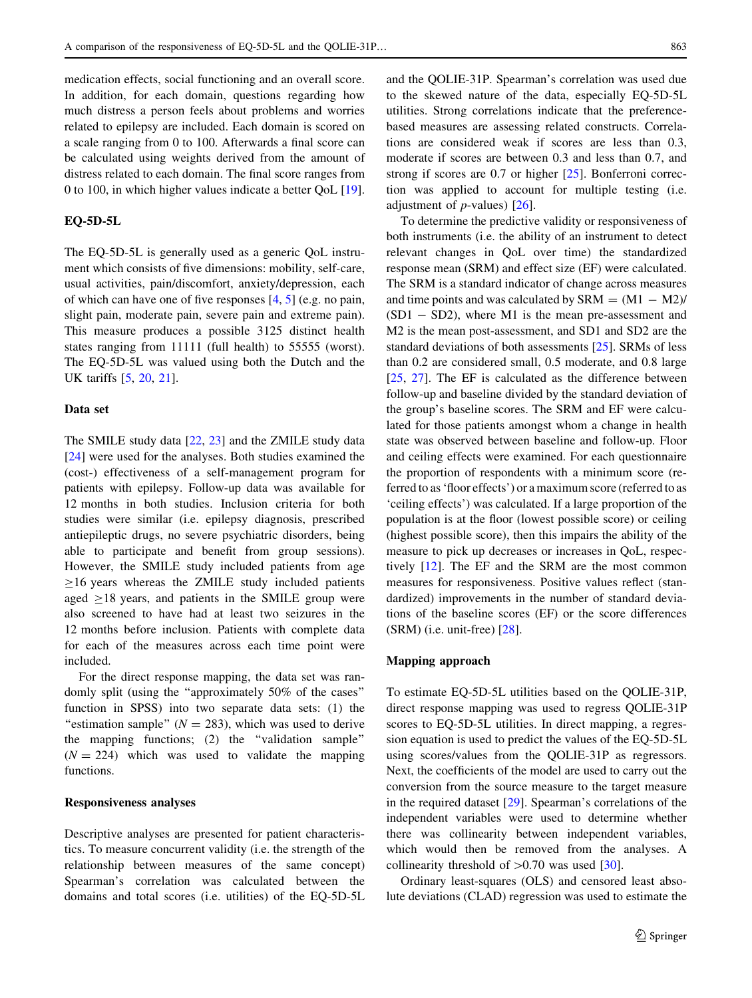medication effects, social functioning and an overall score. In addition, for each domain, questions regarding how much distress a person feels about problems and worries related to epilepsy are included. Each domain is scored on a scale ranging from 0 to 100. Afterwards a final score can be calculated using weights derived from the amount of distress related to each domain. The final score ranges from 0 to 100, in which higher values indicate a better QoL [\[19](#page-8-0)].

#### EQ-5D-5L

The EQ-5D-5L is generally used as a generic QoL instrument which consists of five dimensions: mobility, self-care, usual activities, pain/discomfort, anxiety/depression, each of which can have one of five responses [\[4](#page-8-0), [5\]](#page-8-0) (e.g. no pain, slight pain, moderate pain, severe pain and extreme pain). This measure produces a possible 3125 distinct health states ranging from 11111 (full health) to 55555 (worst). The EQ-5D-5L was valued using both the Dutch and the UK tariffs [\[5](#page-8-0), [20](#page-8-0), [21\]](#page-8-0).

#### Data set

The SMILE study data [\[22,](#page-8-0) [23](#page-8-0)] and the ZMILE study data [\[24](#page-8-0)] were used for the analyses. Both studies examined the (cost-) effectiveness of a self-management program for patients with epilepsy. Follow-up data was available for 12 months in both studies. Inclusion criteria for both studies were similar (i.e. epilepsy diagnosis, prescribed antiepileptic drugs, no severe psychiatric disorders, being able to participate and benefit from group sessions). However, the SMILE study included patients from age  $\geq$ 16 years whereas the ZMILE study included patients aged  $>18$  years, and patients in the SMILE group were also screened to have had at least two seizures in the 12 months before inclusion. Patients with complete data for each of the measures across each time point were included.

For the direct response mapping, the data set was randomly split (using the ''approximately 50% of the cases'' function in SPSS) into two separate data sets: (1) the "estimation sample" ( $N = 283$ ), which was used to derive the mapping functions; (2) the ''validation sample''  $(N = 224)$  which was used to validate the mapping functions.

#### Responsiveness analyses

Descriptive analyses are presented for patient characteristics. To measure concurrent validity (i.e. the strength of the relationship between measures of the same concept) Spearman's correlation was calculated between the domains and total scores (i.e. utilities) of the EQ-5D-5L and the QOLIE-31P. Spearman's correlation was used due to the skewed nature of the data, especially EQ-5D-5L utilities. Strong correlations indicate that the preferencebased measures are assessing related constructs. Correlations are considered weak if scores are less than 0.3, moderate if scores are between 0.3 and less than 0.7, and strong if scores are 0.7 or higher [\[25](#page-8-0)]. Bonferroni correc-

tion was applied to account for multiple testing (i.e.

adjustment of  $p$ -values) [[26\]](#page-8-0). To determine the predictive validity or responsiveness of both instruments (i.e. the ability of an instrument to detect relevant changes in QoL over time) the standardized response mean (SRM) and effect size (EF) were calculated. The SRM is a standard indicator of change across measures and time points and was calculated by  $SRM = (M1 - M2)/$  $(SD1 - SD2)$ , where M1 is the mean pre-assessment and M2 is the mean post-assessment, and SD1 and SD2 are the standard deviations of both assessments [\[25](#page-8-0)]. SRMs of less than 0.2 are considered small, 0.5 moderate, and 0.8 large [\[25](#page-8-0), [27](#page-8-0)]. The EF is calculated as the difference between follow-up and baseline divided by the standard deviation of the group's baseline scores. The SRM and EF were calculated for those patients amongst whom a change in health state was observed between baseline and follow-up. Floor and ceiling effects were examined. For each questionnaire the proportion of respondents with a minimum score (referred to as 'floor effects') or a maximum score (referred to as 'ceiling effects') was calculated. If a large proportion of the population is at the floor (lowest possible score) or ceiling (highest possible score), then this impairs the ability of the measure to pick up decreases or increases in QoL, respectively [[12\]](#page-8-0). The EF and the SRM are the most common measures for responsiveness. Positive values reflect (standardized) improvements in the number of standard deviations of the baseline scores (EF) or the score differences  $(SRM)$  (i.e. unit-free)  $[28]$  $[28]$ .

#### Mapping approach

To estimate EQ-5D-5L utilities based on the QOLIE-31P, direct response mapping was used to regress QOLIE-31P scores to EQ-5D-5L utilities. In direct mapping, a regression equation is used to predict the values of the EQ-5D-5L using scores/values from the QOLIE-31P as regressors. Next, the coefficients of the model are used to carry out the conversion from the source measure to the target measure in the required dataset [\[29](#page-8-0)]. Spearman's correlations of the independent variables were used to determine whether there was collinearity between independent variables, which would then be removed from the analyses. A collinearity threshold of  $>0.70$  was used [[30\]](#page-8-0).

Ordinary least-squares (OLS) and censored least absolute deviations (CLAD) regression was used to estimate the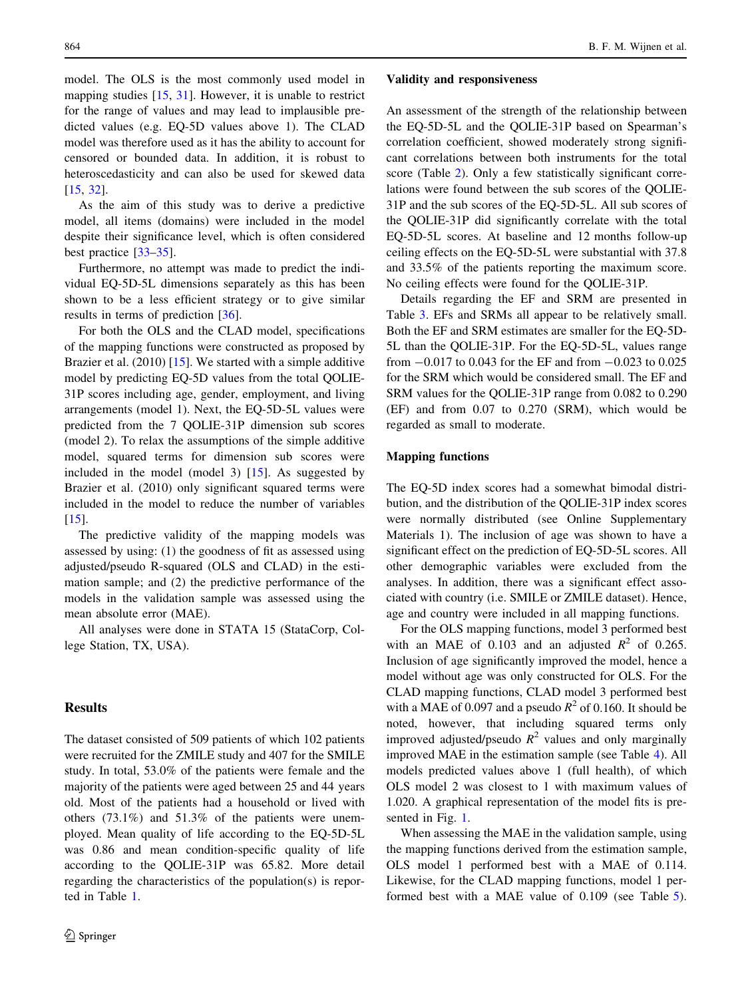model. The OLS is the most commonly used model in mapping studies [[15,](#page-8-0) [31\]](#page-8-0). However, it is unable to restrict for the range of values and may lead to implausible predicted values (e.g. EQ-5D values above 1). The CLAD model was therefore used as it has the ability to account for censored or bounded data. In addition, it is robust to heteroscedasticity and can also be used for skewed data [\[15](#page-8-0), [32](#page-8-0)].

As the aim of this study was to derive a predictive model, all items (domains) were included in the model despite their significance level, which is often considered best practice [[33–](#page-8-0)[35\]](#page-9-0).

Furthermore, no attempt was made to predict the individual EQ-5D-5L dimensions separately as this has been shown to be a less efficient strategy or to give similar results in terms of prediction [\[36](#page-9-0)].

For both the OLS and the CLAD model, specifications of the mapping functions were constructed as proposed by Brazier et al. (2010) [\[15](#page-8-0)]. We started with a simple additive model by predicting EQ-5D values from the total QOLIE-31P scores including age, gender, employment, and living arrangements (model 1). Next, the EQ-5D-5L values were predicted from the 7 QOLIE-31P dimension sub scores (model 2). To relax the assumptions of the simple additive model, squared terms for dimension sub scores were included in the model (model 3) [[15\]](#page-8-0). As suggested by Brazier et al. (2010) only significant squared terms were included in the model to reduce the number of variables  $[15]$  $[15]$ .

The predictive validity of the mapping models was assessed by using: (1) the goodness of fit as assessed using adjusted/pseudo R-squared (OLS and CLAD) in the estimation sample; and (2) the predictive performance of the models in the validation sample was assessed using the mean absolute error (MAE).

All analyses were done in STATA 15 (StataCorp, College Station, TX, USA).

#### Results

The dataset consisted of 509 patients of which 102 patients were recruited for the ZMILE study and 407 for the SMILE study. In total, 53.0% of the patients were female and the majority of the patients were aged between 25 and 44 years old. Most of the patients had a household or lived with others (73.1%) and 51.3% of the patients were unemployed. Mean quality of life according to the EQ-5D-5L was 0.86 and mean condition-specific quality of life according to the QOLIE-31P was 65.82. More detail regarding the characteristics of the population(s) is reported in Table [1.](#page-4-0)

#### Validity and responsiveness

An assessment of the strength of the relationship between the EQ-5D-5L and the QOLIE-31P based on Spearman's correlation coefficient, showed moderately strong significant correlations between both instruments for the total score (Table [2](#page-4-0)). Only a few statistically significant correlations were found between the sub scores of the QOLIE-31P and the sub scores of the EQ-5D-5L. All sub scores of the QOLIE-31P did significantly correlate with the total EQ-5D-5L scores. At baseline and 12 months follow-up ceiling effects on the EQ-5D-5L were substantial with 37.8 and 33.5% of the patients reporting the maximum score. No ceiling effects were found for the QOLIE-31P.

Details regarding the EF and SRM are presented in Table [3](#page-5-0). EFs and SRMs all appear to be relatively small. Both the EF and SRM estimates are smaller for the EQ-5D-5L than the QOLIE-31P. For the EQ-5D-5L, values range from  $-0.017$  to 0.043 for the EF and from  $-0.023$  to 0.025 for the SRM which would be considered small. The EF and SRM values for the QOLIE-31P range from 0.082 to 0.290 (EF) and from 0.07 to 0.270 (SRM), which would be regarded as small to moderate.

#### Mapping functions

The EQ-5D index scores had a somewhat bimodal distribution, and the distribution of the QOLIE-31P index scores were normally distributed (see Online Supplementary Materials 1). The inclusion of age was shown to have a significant effect on the prediction of EQ-5D-5L scores. All other demographic variables were excluded from the analyses. In addition, there was a significant effect associated with country (i.e. SMILE or ZMILE dataset). Hence, age and country were included in all mapping functions.

For the OLS mapping functions, model 3 performed best with an MAE of 0.103 and an adjusted  $R^2$  of 0.265. Inclusion of age significantly improved the model, hence a model without age was only constructed for OLS. For the CLAD mapping functions, CLAD model 3 performed best with a MAE of 0.097 and a pseudo  $R^2$  of 0.160. It should be noted, however, that including squared terms only improved adjusted/pseudo  $R^2$  values and only marginally improved MAE in the estimation sample (see Table [4\)](#page-5-0). All models predicted values above 1 (full health), of which OLS model 2 was closest to 1 with maximum values of 1.020. A graphical representation of the model fits is presented in Fig. [1](#page-6-0).

When assessing the MAE in the validation sample, using the mapping functions derived from the estimation sample, OLS model 1 performed best with a MAE of 0.114. Likewise, for the CLAD mapping functions, model 1 performed best with a MAE value of 0.109 (see Table [5](#page-6-0)).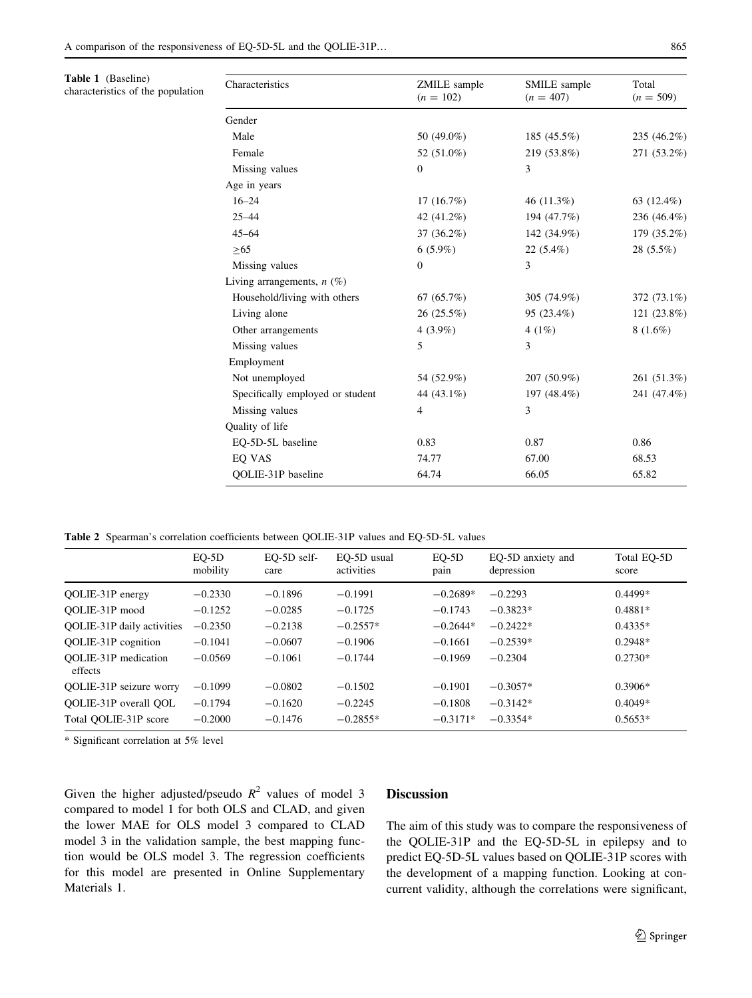<span id="page-4-0"></span>Table 1 (Baseline)

characteristics of the population

| Characteristics                  | ZMILE sample<br>$(n = 102)$ | SMILE sample<br>$(n = 407)$ | Total<br>$(n = 509)$ |  |
|----------------------------------|-----------------------------|-----------------------------|----------------------|--|
| Gender                           |                             |                             |                      |  |
| Male                             | 50 (49.0%)                  | 185 (45.5%)                 | 235 (46.2%)          |  |
| Female                           | 52 (51.0%)                  | 219 (53.8%)                 | 271 (53.2%)          |  |
| Missing values                   | $\mathbf{0}$                | 3                           |                      |  |
| Age in years                     |                             |                             |                      |  |
| $16 - 24$                        | 17(16.7%)                   | 46 (11.3%)                  | 63 $(12.4\%)$        |  |
| $25 - 44$                        | 42 (41.2%)                  | 194 (47.7%)                 | 236 (46.4%)          |  |
| $45 - 64$                        | $37(36.2\%)$                | 142 (34.9%)                 | 179 (35.2%)          |  |
| >65                              | $6(5.9\%)$                  | $22(5.4\%)$                 | $28(5.5\%)$          |  |
| Missing values                   | $\Omega$                    | 3                           |                      |  |
| Living arrangements, $n$ (%)     |                             |                             |                      |  |
| Household/living with others     | 67(65.7%)                   | 305 (74.9%)                 | 372 (73.1%)          |  |
| Living alone                     | $26(25.5\%)$                | 95 (23.4%)                  | 121 (23.8%)          |  |
| Other arrangements               | $4(3.9\%)$                  | 4 $(1%)$                    | $8(1.6\%)$           |  |
| Missing values                   | 5                           | 3                           |                      |  |
| Employment                       |                             |                             |                      |  |
| Not unemployed                   | 54 (52.9%)                  | 207 (50.9%)                 | 261 (51.3%)          |  |
| Specifically employed or student | 44 (43.1%)                  | 197 (48.4%)                 | 241 (47.4%)          |  |
| Missing values                   | $\overline{4}$              | 3                           |                      |  |
| Quality of life                  |                             |                             |                      |  |
| EQ-5D-5L baseline                | 0.83                        | 0.87                        | 0.86                 |  |
| EO VAS                           | 74.77                       | 67.00                       | 68.53                |  |
| <b>OOLIE-31P</b> baseline        | 64.74                       | 66.05                       | 65.82                |  |

Table 2 Spearman's correlation coefficients between QOLIE-31P values and EQ-5D-5L values

|                                        | $EQ-5D$<br>mobility | $EO-5D$ self-<br>care | EO-5D usual<br>activities | EQ-5D<br>pain | EO-5D anxiety and<br>depression | Total EQ-5D<br>score |
|----------------------------------------|---------------------|-----------------------|---------------------------|---------------|---------------------------------|----------------------|
| QOLIE-31P energy                       | $-0.2330$           | $-0.1896$             | $-0.1991$                 | $-0.2689*$    | $-0.2293$                       | $0.4499*$            |
| OOLIE-31P mood                         | $-0.1252$           | $-0.0285$             | $-0.1725$                 | $-0.1743$     | $-0.3823*$                      | $0.4881*$            |
| <b>OOLIE-31P</b> daily activities      | $-0.2350$           | $-0.2138$             | $-0.2557*$                | $-0.2644*$    | $-0.2422*$                      | $0.4335*$            |
| <b>OOLIE-31P</b> cognition             | $-0.1041$           | $-0.0607$             | $-0.1906$                 | $-0.1661$     | $-0.2539*$                      | $0.2948*$            |
| <b>OOLIE-31P</b> medication<br>effects | $-0.0569$           | $-0.1061$             | $-0.1744$                 | $-0.1969$     | $-0.2304$                       | $0.2730*$            |
| <b>OOLIE-31P</b> seizure worry         | $-0.1099$           | $-0.0802$             | $-0.1502$                 | $-0.1901$     | $-0.3057*$                      | $0.3906*$            |
| OOLIE-31P overall OOL                  | $-0.1794$           | $-0.1620$             | $-0.2245$                 | $-0.1808$     | $-0.3142*$                      | $0.4049*$            |
| Total OOLIE-31P score                  | $-0.2000$           | $-0.1476$             | $-0.2855*$                | $-0.3171*$    | $-0.3354*$                      | $0.5653*$            |

\* Significant correlation at 5% level

Given the higher adjusted/pseudo  $R^2$  values of model 3 compared to model 1 for both OLS and CLAD, and given the lower MAE for OLS model 3 compared to CLAD model 3 in the validation sample, the best mapping function would be OLS model 3. The regression coefficients for this model are presented in Online Supplementary Materials 1.

#### Discussion

The aim of this study was to compare the responsiveness of the QOLIE-31P and the EQ-5D-5L in epilepsy and to predict EQ-5D-5L values based on QOLIE-31P scores with the development of a mapping function. Looking at concurrent validity, although the correlations were significant,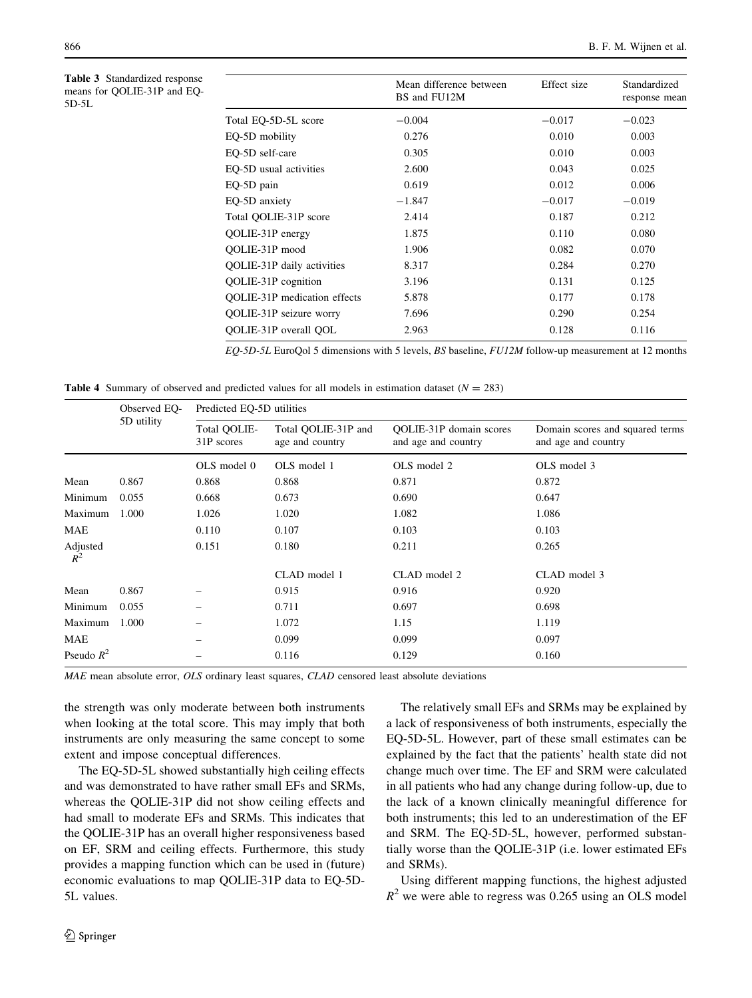<span id="page-5-0"></span>Table 3 Standardized response means for QOLIE-31P and EQ-5D-5L

|                                     | Mean difference between<br>BS and FU12M | Effect size | Standardized<br>response mean |
|-------------------------------------|-----------------------------------------|-------------|-------------------------------|
| Total EQ-5D-5L score                | $-0.004$                                | $-0.017$    | $-0.023$                      |
| EQ-5D mobility                      | 0.276                                   | 0.010       | 0.003                         |
| EO-5D self-care                     | 0.305                                   | 0.010       | 0.003                         |
| EO-5D usual activities              | 2.600                                   | 0.043       | 0.025                         |
| EQ-5D pain                          | 0.619                                   | 0.012       | 0.006                         |
| EO-5D anxiety                       | $-1.847$                                | $-0.017$    | $-0.019$                      |
| Total OOLIE-31P score               | 2.414                                   | 0.187       | 0.212                         |
| QOLIE-31P energy                    | 1.875                                   | 0.110       | 0.080                         |
| OOLIE-31P mood                      | 1.906                                   | 0.082       | 0.070                         |
| QOLIE-31P daily activities          | 8.317                                   | 0.284       | 0.270                         |
| QOLIE-31P cognition                 | 3.196                                   | 0.131       | 0.125                         |
| <b>OOLIE-31P</b> medication effects | 5.878                                   | 0.177       | 0.178                         |
| QOLIE-31P seizure worry             | 7.696                                   | 0.290       | 0.254                         |
| OOLIE-31P overall OOL               | 2.963                                   | 0.128       | 0.116                         |
|                                     |                                         |             |                               |

EQ-5D-5L EuroQol 5 dimensions with 5 levels, BS baseline, FU12M follow-up measurement at 12 months

**Table 4** Summary of observed and predicted values for all models in estimation dataset  $(N = 283)$ 

|                | Observed EO- | Predicted EQ-5D utilities  |                                        |                                                |                                                        |  |  |  |
|----------------|--------------|----------------------------|----------------------------------------|------------------------------------------------|--------------------------------------------------------|--|--|--|
|                | 5D utility   | Total QOLIE-<br>31P scores | Total OOLIE-31P and<br>age and country | QOLIE-31P domain scores<br>and age and country | Domain scores and squared terms<br>and age and country |  |  |  |
|                |              | OLS model 0                | OLS model 1                            | OLS model 2                                    | OLS model 3                                            |  |  |  |
| Mean           | 0.867        | 0.868                      | 0.868                                  | 0.871                                          | 0.872                                                  |  |  |  |
| Minimum        | 0.055        | 0.668                      | 0.673                                  | 0.690                                          | 0.647                                                  |  |  |  |
| Maximum        | 1.000        | 1.026                      | 1.020                                  | 1.082                                          | 1.086                                                  |  |  |  |
| MAE            |              | 0.110                      | 0.107                                  | 0.103                                          | 0.103                                                  |  |  |  |
| Adjusted $R^2$ |              | 0.151                      | 0.180                                  | 0.211                                          | 0.265                                                  |  |  |  |
|                |              |                            | CLAD model 1                           | CLAD model 2                                   | CLAD model 3                                           |  |  |  |
| Mean           | 0.867        |                            | 0.915                                  | 0.916                                          | 0.920                                                  |  |  |  |
| Minimum        | 0.055        |                            | 0.711                                  | 0.697                                          | 0.698                                                  |  |  |  |
| Maximum        | 1.000        |                            | 1.072                                  | 1.15                                           | 1.119                                                  |  |  |  |
| MAE            |              |                            | 0.099                                  | 0.099                                          | 0.097                                                  |  |  |  |
| Pseudo $R^2$   |              |                            | 0.116                                  | 0.129                                          | 0.160                                                  |  |  |  |

MAE mean absolute error, OLS ordinary least squares, CLAD censored least absolute deviations

the strength was only moderate between both instruments when looking at the total score. This may imply that both instruments are only measuring the same concept to some extent and impose conceptual differences.

The EQ-5D-5L showed substantially high ceiling effects and was demonstrated to have rather small EFs and SRMs, whereas the QOLIE-31P did not show ceiling effects and had small to moderate EFs and SRMs. This indicates that the QOLIE-31P has an overall higher responsiveness based on EF, SRM and ceiling effects. Furthermore, this study provides a mapping function which can be used in (future) economic evaluations to map QOLIE-31P data to EQ-5D-5L values.

and SRMs).

The relatively small EFs and SRMs may be explained by a lack of responsiveness of both instruments, especially the EQ-5D-5L. However, part of these small estimates can be explained by the fact that the patients' health state did not change much over time. The EF and SRM were calculated in all patients who had any change during follow-up, due to the lack of a known clinically meaningful difference for both instruments; this led to an underestimation of the EF and SRM. The EQ-5D-5L, however, performed substantially worse than the QOLIE-31P (i.e. lower estimated EFs

Using different mapping functions, the highest adjusted  $R^2$  we were able to regress was 0.265 using an OLS model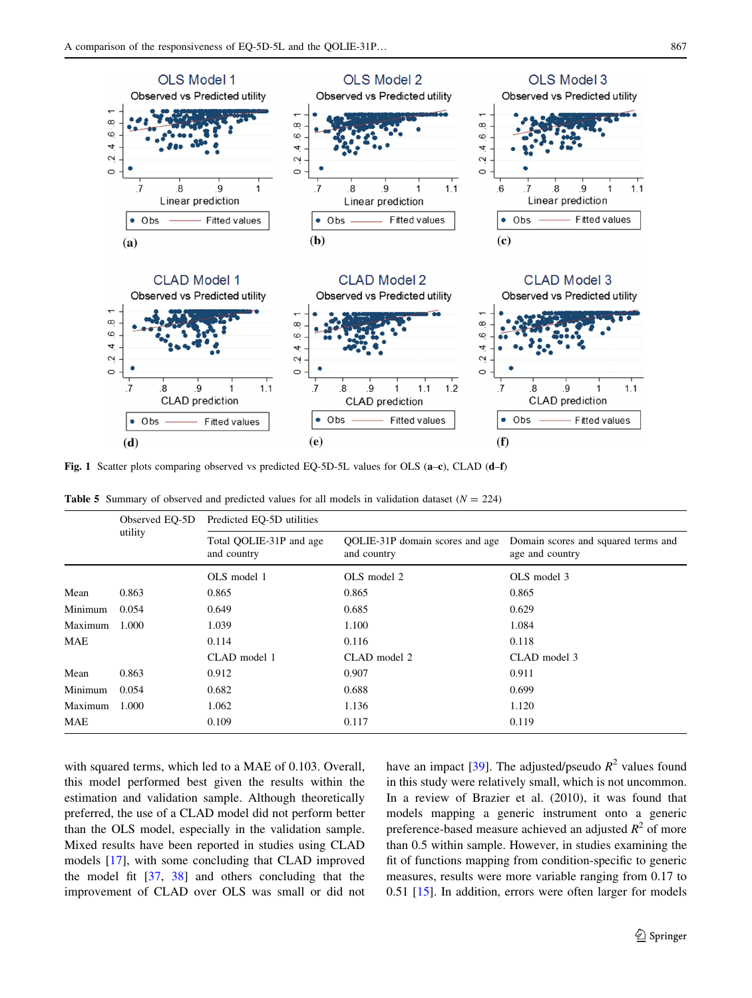<span id="page-6-0"></span>

Fig. 1 Scatter plots comparing observed vs predicted EQ-5D-5L values for OLS (a–c), CLAD (d–f)

|  |  |  |  |  |  |  | <b>Table 5</b> Summary of observed and predicted values for all models in validation dataset $(N = 224)$ |  |
|--|--|--|--|--|--|--|----------------------------------------------------------------------------------------------------------|--|
|--|--|--|--|--|--|--|----------------------------------------------------------------------------------------------------------|--|

|         | Observed EQ-5D | Predicted EQ-5D utilities              |                                                       |                                                        |  |  |  |
|---------|----------------|----------------------------------------|-------------------------------------------------------|--------------------------------------------------------|--|--|--|
|         | utility        | Total OOLIE-31P and age<br>and country | <b>OOLIE-31P</b> domain scores and age<br>and country | Domain scores and squared terms and<br>age and country |  |  |  |
|         |                | OLS model 1                            | OLS model 2                                           | OLS model 3                                            |  |  |  |
| Mean    | 0.863          | 0.865                                  | 0.865                                                 | 0.865                                                  |  |  |  |
| Minimum | 0.054          | 0.649                                  | 0.685                                                 | 0.629                                                  |  |  |  |
| Maximum | 1.000          | 1.039                                  | 1.100                                                 | 1.084                                                  |  |  |  |
| MAE     |                | 0.114                                  | 0.116                                                 | 0.118                                                  |  |  |  |
|         |                | CLAD model 1                           | CLAD model 2                                          | CLAD model 3                                           |  |  |  |
| Mean    | 0.863          | 0.912                                  | 0.907                                                 | 0.911                                                  |  |  |  |
| Minimum | 0.054          | 0.682                                  | 0.688                                                 | 0.699                                                  |  |  |  |
| Maximum | 1.000          | 1.062                                  | 1.136                                                 | 1.120                                                  |  |  |  |
| MAE     |                | 0.109                                  | 0.117                                                 | 0.119                                                  |  |  |  |

with squared terms, which led to a MAE of 0.103. Overall, this model performed best given the results within the estimation and validation sample. Although theoretically preferred, the use of a CLAD model did not perform better than the OLS model, especially in the validation sample. Mixed results have been reported in studies using CLAD models [[17\]](#page-8-0), with some concluding that CLAD improved the model fit [[37,](#page-9-0) [38\]](#page-9-0) and others concluding that the improvement of CLAD over OLS was small or did not have an impact [\[39](#page-9-0)]. The adjusted/pseudo  $R^2$  values found in this study were relatively small, which is not uncommon. In a review of Brazier et al. (2010), it was found that models mapping a generic instrument onto a generic preference-based measure achieved an adjusted  $R^2$  of more than 0.5 within sample. However, in studies examining the fit of functions mapping from condition-specific to generic measures, results were more variable ranging from 0.17 to 0.51 [\[15](#page-8-0)]. In addition, errors were often larger for models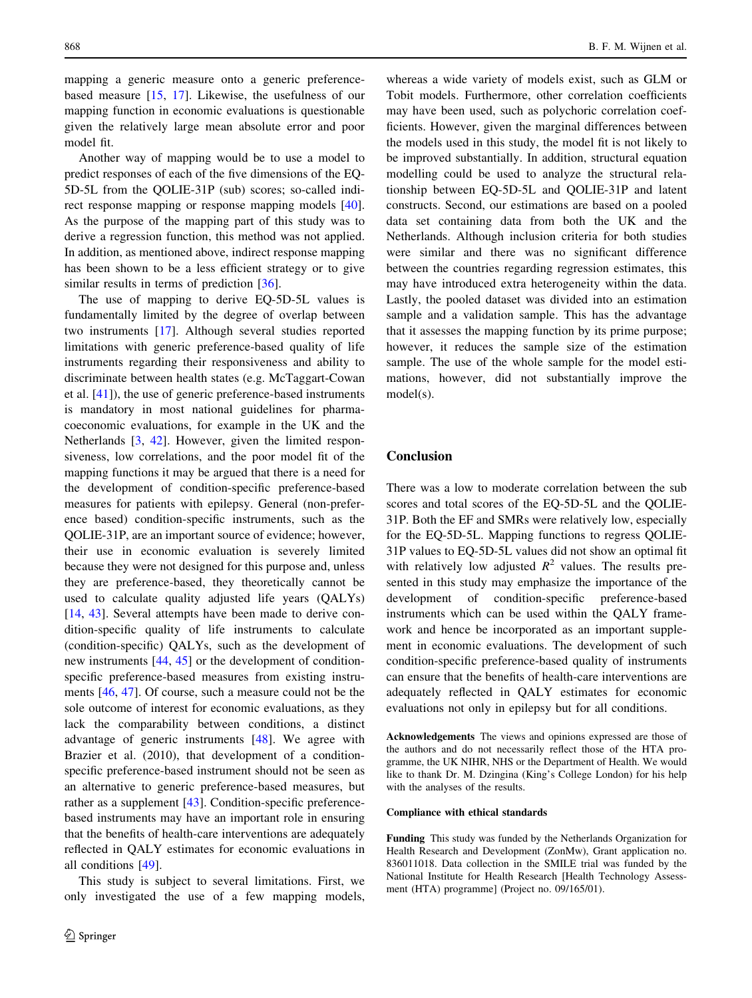mapping a generic measure onto a generic preferencebased measure [\[15](#page-8-0), [17](#page-8-0)]. Likewise, the usefulness of our mapping function in economic evaluations is questionable given the relatively large mean absolute error and poor model fit.

Another way of mapping would be to use a model to predict responses of each of the five dimensions of the EQ-5D-5L from the QOLIE-31P (sub) scores; so-called indirect response mapping or response mapping models [\[40](#page-9-0)]. As the purpose of the mapping part of this study was to derive a regression function, this method was not applied. In addition, as mentioned above, indirect response mapping has been shown to be a less efficient strategy or to give similar results in terms of prediction [\[36](#page-9-0)].

The use of mapping to derive EQ-5D-5L values is fundamentally limited by the degree of overlap between two instruments [[17](#page-8-0)]. Although several studies reported limitations with generic preference-based quality of life instruments regarding their responsiveness and ability to discriminate between health states (e.g. McTaggart-Cowan et al. [\[41](#page-9-0)]), the use of generic preference-based instruments is mandatory in most national guidelines for pharmacoeconomic evaluations, for example in the UK and the Netherlands [\[3](#page-8-0), [42](#page-9-0)]. However, given the limited responsiveness, low correlations, and the poor model fit of the mapping functions it may be argued that there is a need for the development of condition-specific preference-based measures for patients with epilepsy. General (non-preference based) condition-specific instruments, such as the QOLIE-31P, are an important source of evidence; however, their use in economic evaluation is severely limited because they were not designed for this purpose and, unless they are preference-based, they theoretically cannot be used to calculate quality adjusted life years (QALYs) [\[14](#page-8-0), [43](#page-9-0)]. Several attempts have been made to derive condition-specific quality of life instruments to calculate (condition-specific) QALYs, such as the development of new instruments [[44,](#page-9-0) [45](#page-9-0)] or the development of conditionspecific preference-based measures from existing instruments [\[46](#page-9-0), [47](#page-9-0)]. Of course, such a measure could not be the sole outcome of interest for economic evaluations, as they lack the comparability between conditions, a distinct advantage of generic instruments [[48\]](#page-9-0). We agree with Brazier et al. (2010), that development of a conditionspecific preference-based instrument should not be seen as an alternative to generic preference-based measures, but rather as a supplement [\[43](#page-9-0)]. Condition-specific preferencebased instruments may have an important role in ensuring that the benefits of health-care interventions are adequately reflected in QALY estimates for economic evaluations in all conditions [[49\]](#page-9-0).

This study is subject to several limitations. First, we only investigated the use of a few mapping models,

whereas a wide variety of models exist, such as GLM or Tobit models. Furthermore, other correlation coefficients may have been used, such as polychoric correlation coefficients. However, given the marginal differences between the models used in this study, the model fit is not likely to be improved substantially. In addition, structural equation modelling could be used to analyze the structural relationship between EQ-5D-5L and QOLIE-31P and latent constructs. Second, our estimations are based on a pooled data set containing data from both the UK and the Netherlands. Although inclusion criteria for both studies were similar and there was no significant difference between the countries regarding regression estimates, this may have introduced extra heterogeneity within the data. Lastly, the pooled dataset was divided into an estimation sample and a validation sample. This has the advantage that it assesses the mapping function by its prime purpose; however, it reduces the sample size of the estimation sample. The use of the whole sample for the model estimations, however, did not substantially improve the model(s).

# Conclusion

There was a low to moderate correlation between the sub scores and total scores of the EQ-5D-5L and the QOLIE-31P. Both the EF and SMRs were relatively low, especially for the EQ-5D-5L. Mapping functions to regress QOLIE-31P values to EQ-5D-5L values did not show an optimal fit with relatively low adjusted  $R^2$  values. The results presented in this study may emphasize the importance of the development of condition-specific preference-based instruments which can be used within the QALY framework and hence be incorporated as an important supplement in economic evaluations. The development of such condition-specific preference-based quality of instruments can ensure that the benefits of health-care interventions are adequately reflected in QALY estimates for economic evaluations not only in epilepsy but for all conditions.

Acknowledgements The views and opinions expressed are those of the authors and do not necessarily reflect those of the HTA programme, the UK NIHR, NHS or the Department of Health. We would like to thank Dr. M. Dzingina (King's College London) for his help with the analyses of the results.

#### Compliance with ethical standards

Funding This study was funded by the Netherlands Organization for Health Research and Development (ZonMw), Grant application no. 836011018. Data collection in the SMILE trial was funded by the National Institute for Health Research [Health Technology Assessment (HTA) programme] (Project no. 09/165/01).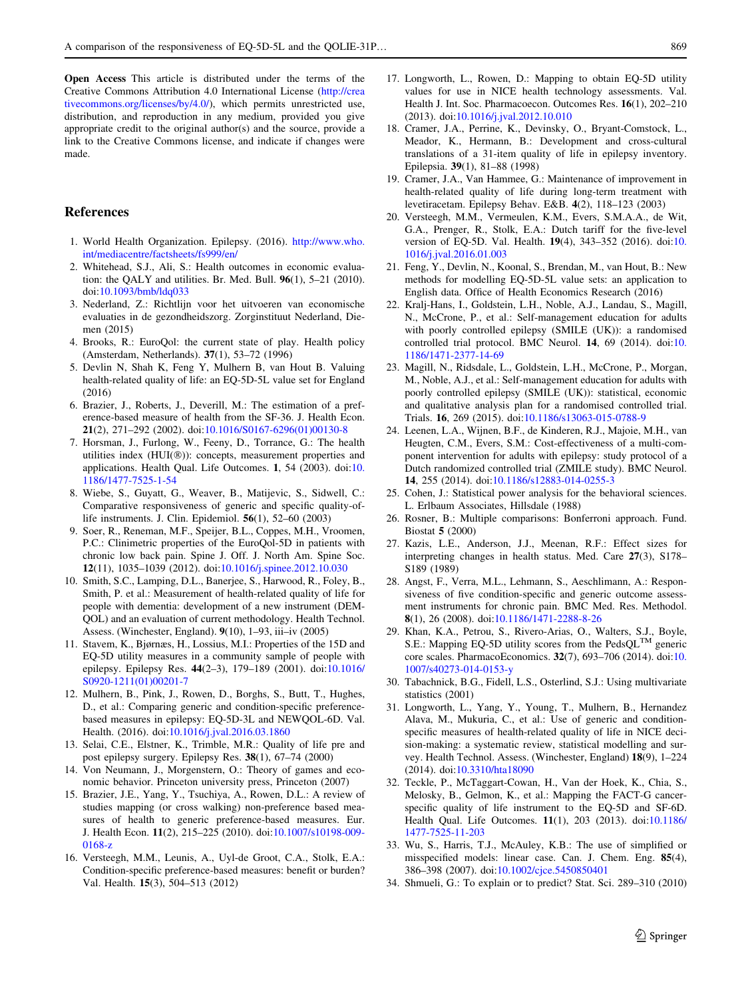<span id="page-8-0"></span>Open Access This article is distributed under the terms of the Creative Commons Attribution 4.0 International License ([http://crea](http://creativecommons.org/licenses/by/4.0/) [tivecommons.org/licenses/by/4.0/\)](http://creativecommons.org/licenses/by/4.0/), which permits unrestricted use, distribution, and reproduction in any medium, provided you give appropriate credit to the original author(s) and the source, provide a link to the Creative Commons license, and indicate if changes were made.

## References

- 1. World Health Organization. Epilepsy. (2016). [http://www.who.](http://www.who.int/mediacentre/factsheets/fs999/en/) [int/mediacentre/factsheets/fs999/en/](http://www.who.int/mediacentre/factsheets/fs999/en/)
- 2. Whitehead, S.J., Ali, S.: Health outcomes in economic evaluation: the QALY and utilities. Br. Med. Bull. 96(1), 5–21 (2010). doi:[10.1093/bmb/ldq033](http://dx.doi.org/10.1093/bmb/ldq033)
- 3. Nederland, Z.: Richtlijn voor het uitvoeren van economische evaluaties in de gezondheidszorg. Zorginstituut Nederland, Diemen (2015)
- 4. Brooks, R.: EuroQol: the current state of play. Health policy (Amsterdam, Netherlands). 37(1), 53–72 (1996)
- 5. Devlin N, Shah K, Feng Y, Mulhern B, van Hout B. Valuing health-related quality of life: an EQ-5D-5L value set for England (2016)
- 6. Brazier, J., Roberts, J., Deverill, M.: The estimation of a preference-based measure of health from the SF-36. J. Health Econ. 21(2), 271–292 (2002). doi[:10.1016/S0167-6296\(01\)00130-8](http://dx.doi.org/10.1016/S0167-6296(01)00130-8)
- 7. Horsman, J., Furlong, W., Feeny, D., Torrance, G.: The health utilities index  $(HUI(\mathcal{D}))$ : concepts, measurement properties and applications. Health Qual. Life Outcomes. 1, 54 (2003). doi:[10.](http://dx.doi.org/10.1186/1477-7525-1-54) [1186/1477-7525-1-54](http://dx.doi.org/10.1186/1477-7525-1-54)
- 8. Wiebe, S., Guyatt, G., Weaver, B., Matijevic, S., Sidwell, C.: Comparative responsiveness of generic and specific quality-oflife instruments. J. Clin. Epidemiol. 56(1), 52–60 (2003)
- 9. Soer, R., Reneman, M.F., Speijer, B.L., Coppes, M.H., Vroomen, P.C.: Clinimetric properties of the EuroQol-5D in patients with chronic low back pain. Spine J. Off. J. North Am. Spine Soc. 12(11), 1035–1039 (2012). doi:[10.1016/j.spinee.2012.10.030](http://dx.doi.org/10.1016/j.spinee.2012.10.030)
- 10. Smith, S.C., Lamping, D.L., Banerjee, S., Harwood, R., Foley, B., Smith, P. et al.: Measurement of health-related quality of life for people with dementia: development of a new instrument (DEM-QOL) and an evaluation of current methodology. Health Technol. Assess. (Winchester, England). 9(10), 1–93, iii–iv (2005)
- 11. Stavem, K., Bjørnæs, H., Lossius, M.I.: Properties of the 15D and EQ-5D utility measures in a community sample of people with epilepsy. Epilepsy Res. 44(2–3), 179–189 (2001). doi[:10.1016/](http://dx.doi.org/10.1016/S0920-1211(01)00201-7) [S0920-1211\(01\)00201-7](http://dx.doi.org/10.1016/S0920-1211(01)00201-7)
- 12. Mulhern, B., Pink, J., Rowen, D., Borghs, S., Butt, T., Hughes, D., et al.: Comparing generic and condition-specific preferencebased measures in epilepsy: EQ-5D-3L and NEWQOL-6D. Val. Health. (2016). doi:[10.1016/j.jval.2016.03.1860](http://dx.doi.org/10.1016/j.jval.2016.03.1860)
- 13. Selai, C.E., Elstner, K., Trimble, M.R.: Quality of life pre and post epilepsy surgery. Epilepsy Res. 38(1), 67–74 (2000)
- 14. Von Neumann, J., Morgenstern, O.: Theory of games and economic behavior. Princeton university press, Princeton (2007)
- 15. Brazier, J.E., Yang, Y., Tsuchiya, A., Rowen, D.L.: A review of studies mapping (or cross walking) non-preference based measures of health to generic preference-based measures. Eur. J. Health Econ. 11(2), 215–225 (2010). doi[:10.1007/s10198-009-](http://dx.doi.org/10.1007/s10198-009-0168-z) [0168-z](http://dx.doi.org/10.1007/s10198-009-0168-z)
- 16. Versteegh, M.M., Leunis, A., Uyl-de Groot, C.A., Stolk, E.A.: Condition-specific preference-based measures: benefit or burden? Val. Health. 15(3), 504–513 (2012)
- 17. Longworth, L., Rowen, D.: Mapping to obtain EQ-5D utility values for use in NICE health technology assessments. Val. Health J. Int. Soc. Pharmacoecon. Outcomes Res. 16(1), 202–210 (2013). doi[:10.1016/j.jval.2012.10.010](http://dx.doi.org/10.1016/j.jval.2012.10.010)
- 18. Cramer, J.A., Perrine, K., Devinsky, O., Bryant-Comstock, L., Meador, K., Hermann, B.: Development and cross-cultural translations of a 31-item quality of life in epilepsy inventory. Epilepsia. 39(1), 81–88 (1998)
- 19. Cramer, J.A., Van Hammee, G.: Maintenance of improvement in health-related quality of life during long-term treatment with levetiracetam. Epilepsy Behav. E&B. 4(2), 118–123 (2003)
- 20. Versteegh, M.M., Vermeulen, K.M., Evers, S.M.A.A., de Wit, G.A., Prenger, R., Stolk, E.A.: Dutch tariff for the five-level version of EQ-5D. Val. Health. 19(4), 343–352 (2016). doi:[10.](http://dx.doi.org/10.1016/j.jval.2016.01.003) [1016/j.jval.2016.01.003](http://dx.doi.org/10.1016/j.jval.2016.01.003)
- 21. Feng, Y., Devlin, N., Koonal, S., Brendan, M., van Hout, B.: New methods for modelling EQ-5D-5L value sets: an application to English data. Office of Health Economics Research (2016)
- 22. Kralj-Hans, I., Goldstein, L.H., Noble, A.J., Landau, S., Magill, N., McCrone, P., et al.: Self-management education for adults with poorly controlled epilepsy (SMILE (UK)): a randomised controlled trial protocol. BMC Neurol. 14, 69 (2014). doi:[10.](http://dx.doi.org/10.1186/1471-2377-14-69) [1186/1471-2377-14-69](http://dx.doi.org/10.1186/1471-2377-14-69)
- 23. Magill, N., Ridsdale, L., Goldstein, L.H., McCrone, P., Morgan, M., Noble, A.J., et al.: Self-management education for adults with poorly controlled epilepsy (SMILE (UK)): statistical, economic and qualitative analysis plan for a randomised controlled trial. Trials. 16, 269 (2015). doi[:10.1186/s13063-015-0788-9](http://dx.doi.org/10.1186/s13063-015-0788-9)
- 24. Leenen, L.A., Wijnen, B.F., de Kinderen, R.J., Majoie, M.H., van Heugten, C.M., Evers, S.M.: Cost-effectiveness of a multi-component intervention for adults with epilepsy: study protocol of a Dutch randomized controlled trial (ZMILE study). BMC Neurol. 14, 255 (2014). doi[:10.1186/s12883-014-0255-3](http://dx.doi.org/10.1186/s12883-014-0255-3)
- 25. Cohen, J.: Statistical power analysis for the behavioral sciences. L. Erlbaum Associates, Hillsdale (1988)
- 26. Rosner, B.: Multiple comparisons: Bonferroni approach. Fund. Biostat 5 (2000)
- 27. Kazis, L.E., Anderson, J.J., Meenan, R.F.: Effect sizes for interpreting changes in health status. Med. Care 27(3), S178– S189 (1989)
- 28. Angst, F., Verra, M.L., Lehmann, S., Aeschlimann, A.: Responsiveness of five condition-specific and generic outcome assessment instruments for chronic pain. BMC Med. Res. Methodol. 8(1), 26 (2008). doi:[10.1186/1471-2288-8-26](http://dx.doi.org/10.1186/1471-2288-8-26)
- 29. Khan, K.A., Petrou, S., Rivero-Arias, O., Walters, S.J., Boyle, S.E.: Mapping EQ-5D utility scores from the PedsQL<sup>TM</sup> generic core scales. PharmacoEconomics. 32(7), 693–706 (2014). doi:[10.](http://dx.doi.org/10.1007/s40273-014-0153-y) [1007/s40273-014-0153-y](http://dx.doi.org/10.1007/s40273-014-0153-y)
- 30. Tabachnick, B.G., Fidell, L.S., Osterlind, S.J.: Using multivariate statistics (2001)
- 31. Longworth, L., Yang, Y., Young, T., Mulhern, B., Hernandez Alava, M., Mukuria, C., et al.: Use of generic and conditionspecific measures of health-related quality of life in NICE decision-making: a systematic review, statistical modelling and survey. Health Technol. Assess. (Winchester, England) 18(9), 1–224 (2014). doi[:10.3310/hta18090](http://dx.doi.org/10.3310/hta18090)
- 32. Teckle, P., McTaggart-Cowan, H., Van der Hoek, K., Chia, S., Melosky, B., Gelmon, K., et al.: Mapping the FACT-G cancerspecific quality of life instrument to the EQ-5D and SF-6D. Health Qual. Life Outcomes. 11(1), 203 (2013). doi[:10.1186/](http://dx.doi.org/10.1186/1477-7525-11-203) [1477-7525-11-203](http://dx.doi.org/10.1186/1477-7525-11-203)
- 33. Wu, S., Harris, T.J., McAuley, K.B.: The use of simplified or misspecified models: linear case. Can. J. Chem. Eng. 85(4), 386–398 (2007). doi:[10.1002/cjce.5450850401](http://dx.doi.org/10.1002/cjce.5450850401)
- 34. Shmueli, G.: To explain or to predict? Stat. Sci. 289–310 (2010)